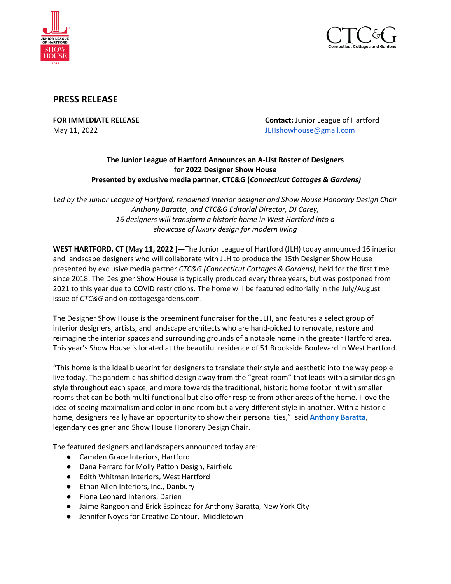



# **PRESS RELEASE**

**FOR IMMEDIATE RELEASE Contact:** Junior League of Hartford May 11, 2022 **May 11, 2022 [JLHshowhouse@gmail.com](mailto:JLHshowhouse@gmail.com)** 

## **The Junior League of Hartford Announces an A-List Roster of Designers for 2022 Designer Show House Presented by exclusive media partner, CTC&G (***Connecticut Cottages & Gardens)*

*Led by the Junior League of Hartford, renowned interior designer and Show House Honorary Design Chair Anthony Baratta, and CTC&G Editorial Director, DJ Carey, 16 designers will transform a historic home in West Hartford into a showcase of luxury design for modern living*

**WEST HARTFORD, CT (May 11, 2022 )—**The Junior League of Hartford (JLH) today announced 16 interior and landscape designers who will collaborate with JLH to produce the 15th Designer Show House presented by exclusive media partner *CTC&G (Connecticut Cottages & Gardens),* held for the first time since 2018. The Designer Show House is typically produced every three years, but was postponed from 2021 to this year due to COVID restrictions. The home will be featured editorially in the July/August issue of *CTC&G* and on cottagesgardens.com.

The Designer Show House is the preeminent fundraiser for the JLH, and features a select group of interior designers, artists, and landscape architects who are hand-picked to renovate, restore and reimagine the interior spaces and surrounding grounds of a notable home in the greater Hartford area. This year's Show House is located at the beautiful residence of 51 Brookside Boulevard in West Hartford.

"This home is the ideal blueprint for designers to translate their style and aesthetic into the way people live today. The pandemic has shifted design away from the "great room" that leads with a similar design style throughout each space, and more towards the traditional, historic home footprint with smaller rooms that can be both multi-functional but also offer respite from other areas of the home. I love the idea of seeing maximalism and color in one room but a very different style in another. With a historic home, designers really have an opportunity to show their personalities," said **[Anthony Baratta](https://www.anthonybaratta.com/pages/about)**, legendary designer and Show House Honorary Design Chair.

The featured designers and landscapers announced today are:

- Camden Grace Interiors, Hartford
- Dana Ferraro for Molly Patton Design, Fairfield
- Edith Whitman Interiors, West Hartford
- Ethan Allen Interiors, Inc., Danbury
- Fiona Leonard Interiors, Darien
- Jaime Rangoon and Erick Espinoza for Anthony Baratta, New York City
- Jennifer Noyes for Creative Contour, Middletown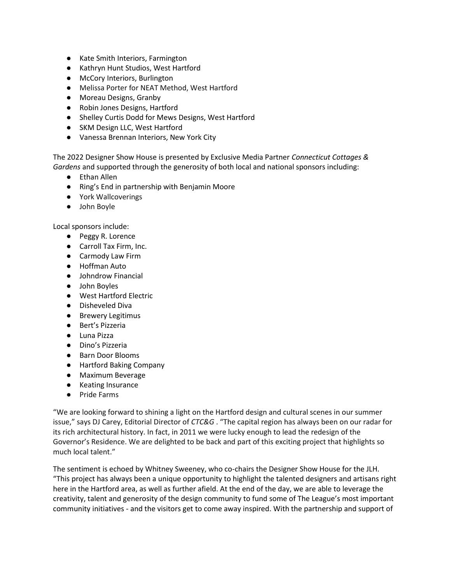- Kate Smith Interiors, Farmington
- Kathryn Hunt Studios, West Hartford
- McCory Interiors, Burlington
- Melissa Porter for NEAT Method, West Hartford
- Moreau Designs, Granby
- Robin Jones Designs, Hartford
- Shelley Curtis Dodd for Mews Designs, West Hartford
- SKM Design LLC, West Hartford
- Vanessa Brennan Interiors, New York City

The 2022 Designer Show House is presented by Exclusive Media Partner *Connecticut Cottages & Gardens* and supported through the generosity of both local and national sponsors including:

- Ethan Allen
- Ring's End in partnership with Benjamin Moore
- York Wallcoverings
- John Boyle

Local sponsors include:

- Peggy R. Lorence
- Carroll Tax Firm, Inc.
- Carmody Law Firm
- Hoffman Auto
- Johndrow Financial
- John Boyles
- West Hartford Electric
- Disheveled Diva
- Brewery Legitimus
- Bert's Pizzeria
- Luna Pizza
- Dino's Pizzeria
- Barn Door Blooms
- Hartford Baking Company
- Maximum Beverage
- Keating Insurance
- Pride Farms

"We are looking forward to shining a light on the Hartford design and cultural scenes in our summer issue," says DJ Carey, Editorial Director of *CTC&G* . "The capital region has always been on our radar for its rich architectural history. In fact, in 2011 we were lucky enough to lead the redesign of the Governor's Residence. We are delighted to be back and part of this exciting project that highlights so much local talent."

The sentiment is echoed by Whitney Sweeney, who co-chairs the Designer Show House for the JLH. "This project has always been a unique opportunity to highlight the talented designers and artisans right here in the Hartford area, as well as further afield. At the end of the day, we are able to leverage the creativity, talent and generosity of the design community to fund some of The League's most important community initiatives - and the visitors get to come away inspired. With the partnership and support of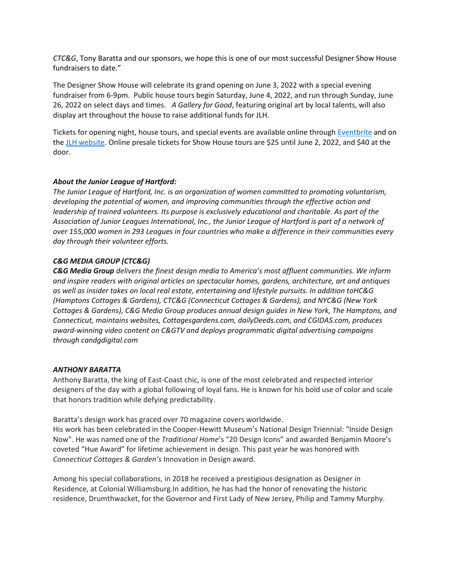*CTC&G*, Tony Baratta and our sponsors, we hope this is one of our most successful Designer Show House fundraisers to date."

The Designer Show House will celebrate its grand opening on June 3, 2022 with a special evening fundraiser from 6-9pm. Public house tours begin Saturday, June 4, 2022, and run through Sunday, June 26, 2022 on select days and times. *A Gallery for Good*, featuring original art by local talents, will also display art throughout the house to raise additional funds for JLH.

Tickets for opening night, house tours, and special events are available online through [Eventbrite](https://www.eventbrite.com/e/2022-junior-league-of-hartford-designer-show-house-tickets-302345382177) and on th[e JLH website.](http://jlhartford.org/) Online presale tickets for Show House tours are \$25 until June 2, 2022, and \$40 at the door.

### *About the Junior League of Hartford:*

*The Junior League of Hartford, Inc. is an organization of women committed to promoting voluntarism, developing the potential of women, and improving communities through the effective action and leadership of trained volunteers. Its purpose is exclusively educational and charitable. As part of the Association of Junior Leagues International, Inc., the Junior League of Hartford is part of a network of over 155,000 women in 293 Leagues in four countries who make a difference in their communities every day through their volunteer efforts.* 

#### *C&G MEDIA GROUP (CTC&G)*

*C&G Media Group delivers the finest design media to America's most affluent communities. We inform and inspire readers with original articles on spectacular homes, gardens, architecture, art and antiques as well as insider takes on local real estate, entertaining and lifestyle pursuits. In addition toHC&G (Hamptons Cottages & Gardens), CTC&G (Connecticut Cottages & Gardens), and NYC&G (New York Cottages & Gardens), C&G Media Group produces annual design guides in New York, The Hamptons, and Connecticut, maintains websites, Cottagesgardens.com, dailyDeeds.com, and CGIDAS.com, produces*  award-winning video content on C&GTV and deploys programmatic digital advertising campaigns *through candgdigital.com* 

#### *ANTHONY BARATTA*

Anthony Baratta, the king of East-Coast chic, is one of the most celebrated and respected interior designers of the day with a global following of loyal fans. He is known for his bold use of color and scale that honors tradition while defying predictability.

Baratta's design work has graced over 70 magazine covers worldwide.

His work has been celebrated in the Cooper-Hewitt Museum's National Design Triennial: "Inside Design Now". He was named one of the *Traditional Home*'s "20 Design Icons" and awarded Benjamin Moore's coveted "Hue Award" for lifetime achievement in design. This past year he was honored with *Connecticut Cottages & Garden's* Innovation in Design award.

Among his special collaborations, in 2018 he received a prestigious designation as Designer in Residence, at Colonial Williamsburg.In addition, he has had the honor of renovating the historic residence, Drumthwacket, for the Governor and First Lady of New Jersey, Philip and Tammy Murphy.